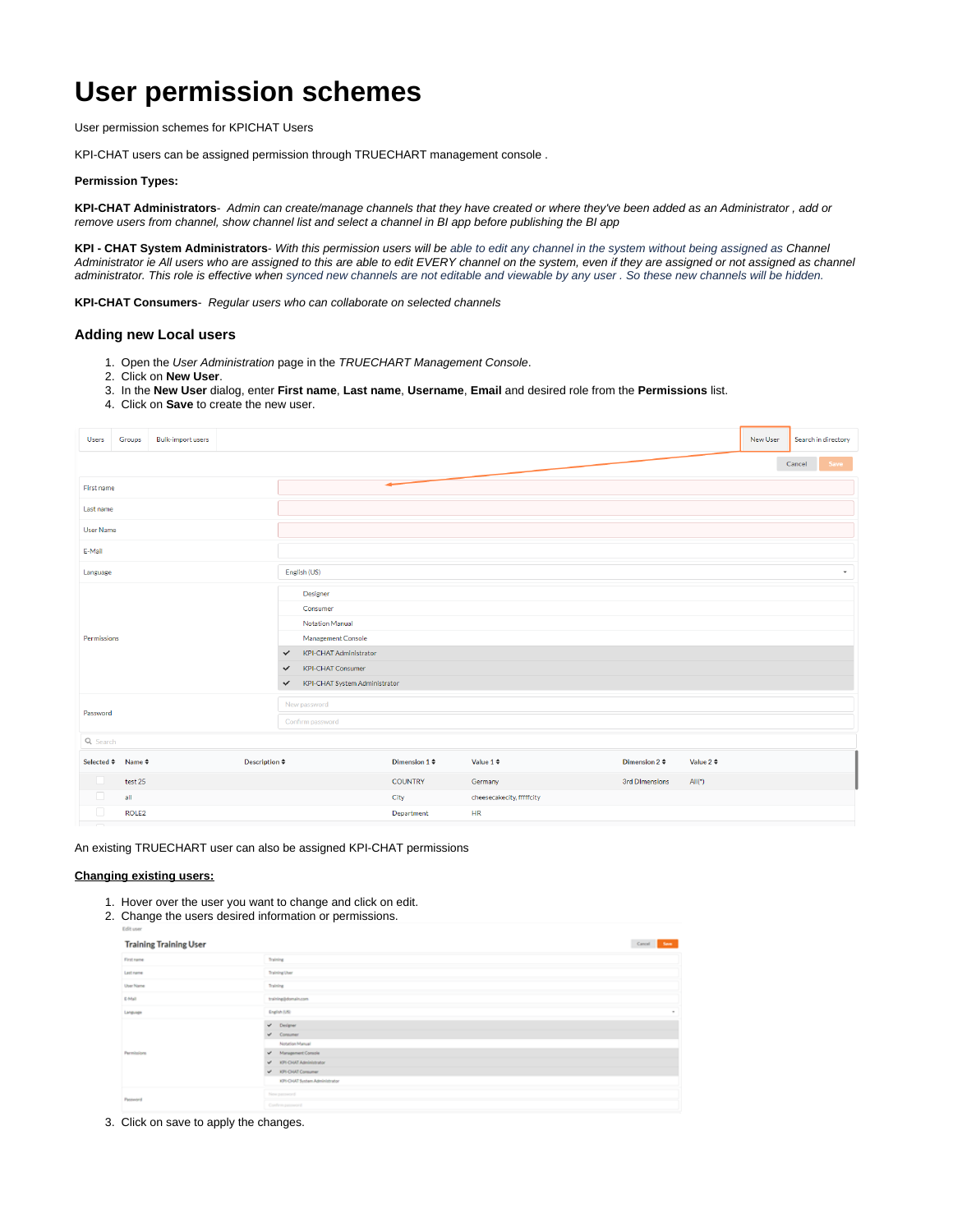# **User permission schemes**

User permission schemes for KPICHAT Users

KPI-CHAT users can be assigned permission through TRUECHART management console .

## **Permission Types:**

**KPI-CHAT Administrators**- Admin can create/manage channels that they have created or where they've been added as an Administrator , add or remove users from channel, show channel list and select a channel in BI app before publishing the BI app

**KPI - CHAT System Administrators**- With this permission users will be able to edit any channel in the system without being assigned as Channel Administrator ie All users who are assigned to this are able to edit EVERY channel on the system, even if they are assigned or not assigned as channel administrator. This role is effective when synced new channels are not editable and viewable by any user . So these new channels will be hidden.

**KPI-CHAT Consumers**- Regular users who can collaborate on selected channels

#### **Adding new Local users**

- 1. Open the User Administration page in the TRUECHART Management Console.
- 2. Click on **New User**.
- 3. In the **New User** dialog, enter **First name**, **Last name**, **Username**, **Email** and desired role from the **Permissions** list.
- 4. Click on **Save** to create the new user.

| <b>Bulk-import users</b><br><b>Users</b><br>Groups |                                               |  |                  |                                          |                               |                |                           |                    |                |          | New User |        | Search in directory |
|----------------------------------------------------|-----------------------------------------------|--|------------------|------------------------------------------|-------------------------------|----------------|---------------------------|--------------------|----------------|----------|----------|--------|---------------------|
|                                                    |                                               |  |                  |                                          |                               |                |                           |                    |                |          |          | Cancel | Save                |
| First name                                         |                                               |  |                  |                                          |                               |                |                           |                    |                |          |          |        |                     |
| Last name                                          |                                               |  |                  |                                          |                               |                |                           |                    |                |          |          |        |                     |
| User Name                                          |                                               |  |                  |                                          |                               |                |                           |                    |                |          |          |        |                     |
| E-Mail                                             |                                               |  |                  |                                          |                               |                |                           |                    |                |          |          |        |                     |
| Language                                           |                                               |  |                  |                                          | English (US)                  |                |                           |                    |                |          |          |        | ٠                   |
|                                                    |                                               |  |                  | Designer                                 |                               |                |                           |                    |                |          |          |        |                     |
|                                                    |                                               |  |                  | Consumer                                 |                               |                |                           |                    |                |          |          |        |                     |
|                                                    |                                               |  |                  | Notation Manual                          |                               |                |                           |                    |                |          |          |        |                     |
| Permissions                                        |                                               |  |                  | Management Console                       |                               |                |                           |                    |                |          |          |        |                     |
|                                                    |                                               |  |                  | $\checkmark$                             | <b>KPI-CHAT Administrator</b> |                |                           |                    |                |          |          |        |                     |
|                                                    |                                               |  |                  | <b>KPI-CHAT Consumer</b><br>$\checkmark$ |                               |                |                           |                    |                |          |          |        |                     |
|                                                    |                                               |  | $\checkmark$     | KPI-CHAT System Administrator            |                               |                |                           |                    |                |          |          |        |                     |
| Password                                           |                                               |  | New password     |                                          |                               |                |                           |                    |                |          |          |        |                     |
|                                                    |                                               |  | Confirm password |                                          |                               |                |                           |                    |                |          |          |        |                     |
| Q Search                                           |                                               |  |                  |                                          |                               |                |                           |                    |                |          |          |        |                     |
|                                                    | Selected ≑ Name ≑<br>Description $\texttt{*}$ |  |                  |                                          | Dimension $1 \div$            | Value 1 $\div$ |                           | Dimension 2 $\div$ | Value 2 $\div$ |          |          |        |                     |
| U                                                  | test 25                                       |  |                  |                                          |                               | <b>COUNTRY</b> | Germany                   |                    | 3rd DImensions | $All(*)$ |          |        |                     |
| $\Box$                                             | all                                           |  |                  |                                          |                               | City           | cheesecakecity, fffffcity |                    |                |          |          |        |                     |
| $\Box$                                             | ROLE <sub>2</sub>                             |  |                  |                                          |                               | Department     | HR                        |                    |                |          |          |        |                     |
| $\overline{\phantom{a}}$                           |                                               |  |                  |                                          |                               |                |                           |                    |                |          |          |        |                     |

An existing TRUECHART user can also be assigned KPI-CHAT permissions

## **Changing existing users:**

- 1. Hover over the user you want to change and click on edit.
- 2. Change the users desired information or permissions.

| <b>Training Training User</b> |                                                                                                                                                            | Cancel<br>Sem. |  |  |  |
|-------------------------------|------------------------------------------------------------------------------------------------------------------------------------------------------------|----------------|--|--|--|
| First name                    | Training                                                                                                                                                   |                |  |  |  |
| Lest name                     | Training User                                                                                                                                              |                |  |  |  |
| User Name                     |                                                                                                                                                            |                |  |  |  |
| E-Mail                        | training@domain.com                                                                                                                                        |                |  |  |  |
| Language                      | English (US)                                                                                                                                               | $\sim$         |  |  |  |
| Permissions                   | $v^*$ Designer<br>$v$ Consumer<br>Notation Manual<br>V Management Console<br>V KPI-CHAT Administrator<br>V IOSOUT Comumer<br>XPI-CHAT System Administrator |                |  |  |  |
| Password                      | New password<br>Conferencement                                                                                                                             |                |  |  |  |

3. Click on save to apply the changes.